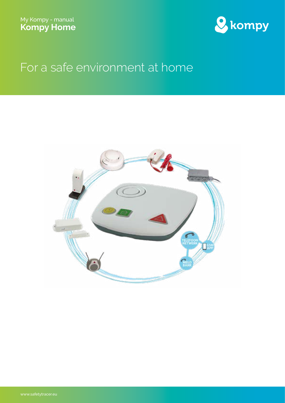

# For a safe environment at home

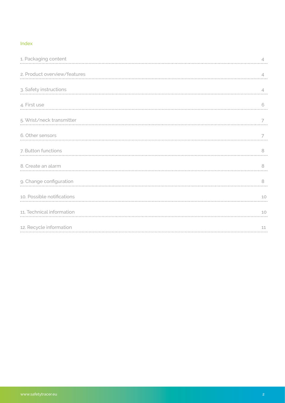#### Index

| 1. Packaging content         | $\overline{\mathcal{A}}$ |
|------------------------------|--------------------------|
| 2. Product overview/features | $\overline{4}$           |
| 3. Safety instructions       | $\overline{4}$           |
| 4. First use                 | 6                        |
| 5. Wrist/neck transmitter    |                          |
| 6. Other sensors             | 7                        |
| 7. Button functions          | 8                        |
| 8. Create an alarm           | 8                        |
| 9. Change configuration      | 8                        |
| 10. Possible notifications   | 10                       |
| 11. Technical information    | 10                       |
| 12. Recycle information      | 11                       |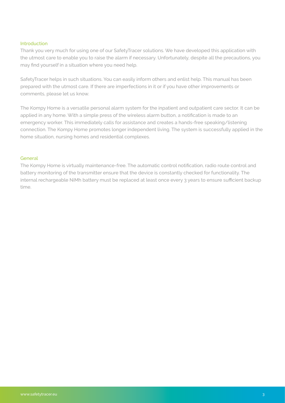#### **Introduction**

Thank you very much for using one of our SafetyTracer solutions. We have developed this application with the utmost care to enable you to raise the alarm if necessary. Unfortunately, despite all the precautions, you may find yourself in a situation where you need help.

SafetyTracer helps in such situations. You can easily inform others and enlist help. This manual has been prepared with the utmost care. If there are imperfections in it or if you have other improvements or comments, please let us know.

The Kompy Home is a versatile personal alarm system for the inpatient and outpatient care sector. It can be applied in any home. With a simple press of the wireless alarm button, a notification is made to an emergency worker. This immediately calls for assistance and creates a hands-free speaking/listening connection. The Kompy Home promotes longer independent living. The system is successfully applied in the home situation, nursing homes and residential complexes.

#### **General**

The Kompy Home is virtually maintenance-free. The automatic control notification, radio route control and battery monitoring of the transmitter ensure that the device is constantly checked for functionality. The internal rechargeable NiMh battery must be replaced at least once every 3 years to ensure sufficient backup time.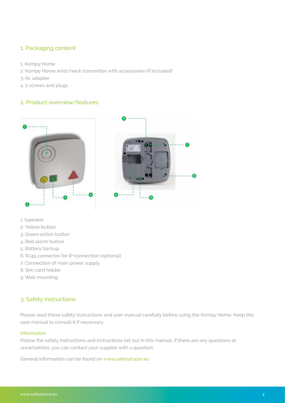# <span id="page-3-0"></span>1. Packaging content

- 1. Kompy Home
- 2. Kompy Home wrist/neck transmitter with accessories (if included)
- 3. Ac adapter
- 4. 2 screws and plugs

## 2. Product overview/features



- 1. lspeaker
- 2. Yellow button
- 3. Green action button
- 4. Red alarm button
- 5. Battery backup
- 6. RJ45 connector for IP connection (optional)
- 7. Connection of main power supply
- 8. Sim card holder
- 9. Wall mounting

# 3. Safety instructions

Please read these safety instructions and user manual carefully before using the Kompy Home. Keep this user manual to consult it if necessary.

#### Information

Follow the safety instructions and instructions set out in this manual. If there are any questions or uncertainties, you can contact your supplier with a question.

General information can be found on www.safetytracer.e[u](http://www.safetytracer.eu  )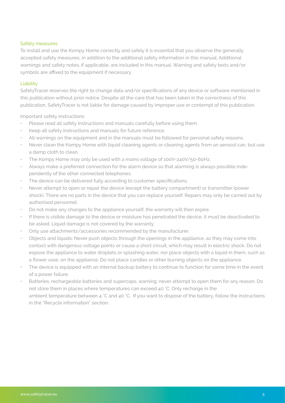#### Safety measures

To install and use the Kompy Home correctly and safely it is essential that you observe the generally accepted safety measures, in addition to the additional safety information in this manual. Additional warnings and safety notes, if applicable, are included in this manual. Warning and safety texts and/or symbols are affixed to the equipment if necessary.

#### Liability

SafetyTracer reserves the right to change data and/or specifications of any device or software mentioned in this publication without prior notice. Despite all the care that has been taken in the correctness of this publication, SafetyTracer is not liable for damage caused by improper use or contempt of this publication.

Important safety instructions

- Please read all safety instructions and manuals carefully before using them.
- Keep all safety instructions and manuals for future reference.
- All warnings on the equipment and in the manuals must be followed for personal safety reasons.
- Never clean the Kompy Home with liquid cleaning agents or cleaning agents from an aerosol can, but use a damp cloth to clean.
- The Kompy Home may only be used with a mains voltage of 100V-240V/50-60Hz.
- Always make a preferred connection for the alarm device so that alarming is always possible independently of the other connected telephones.
- The device can be delivered fully according to customer specifications.
- Never attempt to open or repair the device (except the battery compartment) or transmitter (power shock). There are no parts in the device that you can replace yourself. Repairs may only be carried out by authorised personnel.
- Do not make any changes to the appliance yourself, the warranty will then expire.
- If there is visible damage to the device or moisture has penetrated the device, it must be deactivated to be asked. Liquid damage is not covered by the warranty.
- Only use attachments/accessories recommended by the manufacturer.
- Objects and liquids: Never push objects through the openings in the appliance, as they may come into contact with dangerous voltage points or cause a short circuit, which may result in electric shock. Do not expose the appliance to water droplets or splashing water, nor place objects with a liquid in them, such as a flower vase, on the appliance. Do not place candles or other burning objects on the appliance.
- The device is equipped with an internal backup battery to continue to function for some time in the event of a power failure.
- Batteries, rechargeable batteries and supercaps, warning: never attempt to open them for any reason. Do not store them in places where temperatures can exceed 40 °C. Only recharge in the ambient temperature between 4 °C and 40 °C. If you want to dispose of the battery, follow the instructions in the "Recycle information" section.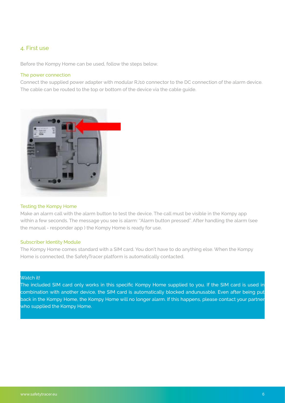## <span id="page-5-0"></span>4. First use

Before the Kompy Home can be used, follow the steps below.

#### The power connection

Connect the supplied power adapter with modular RJ10 connector to the DC connection of the alarm device. The cable can be routed to the top or bottom of the device via the cable guide.



#### Testing the Kompy Home

Make an alarm call with the alarm button to test the device. The call must be visible in the Kompy app within a few seconds. The message you see is alarm: ''Alarm button pressed''. After handling the alarm (see the manual - responder app ) the Kompy Home is ready for use.

#### Subscriber Identity Module

The Kompy Home comes standard with a SIM card. You don't have to do anything else. When the Kompy Home is connected, the SafetyTracer platform is automatically contacted.

#### Watch it!

The included SIM card only works in this specific Kompy Home supplied to you. If the SIM card is used in combination with another device, the SIM card is automatically blocked andunusable. Even after being put back in the Kompy Home, the Kompy Home will no longer alarm. If this happens, please contact your partner who supplied the Kompy Home.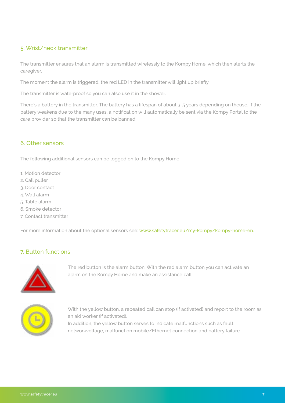# 5. Wrist/neck transmitter

The transmitter ensures that an alarm is transmitted wirelessly to the Kompy Home, which then alerts the caregiver.

The moment the alarm is triggered, the red LED in the transmitter will light up briefly.

The transmitter is waterproof so you can also use it in the shower.

There's a battery in the transmitter. The battery has a lifespan of about 3-5 years depending on theuse. If the battery weakens due to the many uses, a notification will automatically be sent via the Kompy Portal to the care provider so that the transmitter can be banned.

## 6. Other sensors

The following additional sensors can be logged on to the Kompy Home

- 1. Motion detector
- 2. Call puller
- 3. Door contact
- 4. Wall alarm
- 5. Table alarm
- 6. Smoke detector
- 7. Contact transmitter

For more information about the optional sensors see: www.safetytracer.eu/my-kompy/kompy-home-en.

# 7. Button functions



The red button is the alarm button. With the red alarm button you can activate an alarm on the Kompy Home and make an assistance call.



With the yellow button, a repeated call can stop (if activated) and report to the room as an aid worker (if activated).

In addition, the yellow button serves to indicate malfunctions such as fault networkvoltage, malfunction mobile/Ethernet connection and battery failure.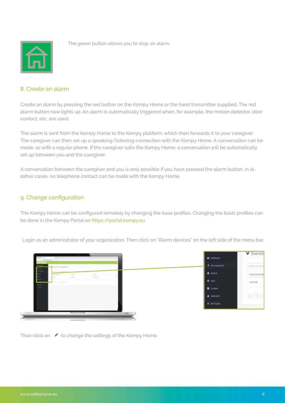<span id="page-7-0"></span>

The green button allows you to stop an alarm.

# 8. Create an alarm

Create an alarm by pressing the red button on the Kompy Home or the hand transmitter supplied. The red alarm button now lights up. An alarm is automatically triggered when, for example, the motion detector, door contact, etc. are used.

The alarm is sent from the Kompy Home to the Kompy platform, which then forwards it to your caregiver. The caregiver can then set up a speaking/listening connection with the Kompy Home. A conversation can be made, as with a regular phone. If the caregiver calls the Kompy Home, a conversation will be automatically set up between you and the caregiver.

A conversation between the caregiver and you is only possible if you have pressed the alarm button. In allother cases, no telephone contact can be made with the Kompy Home.

## 9. Change configuration

The Kompy Home can be configured remotely by changing the base profiles. Changing the basic profiles can be done in the Kompy Portal on https://portal.kompy.eu

Login as an administrator of your organization. Then click on "Alarm devices" on the left side of the menu bar.



Than click on  $\bullet$  to change the settings of the Kompy Home.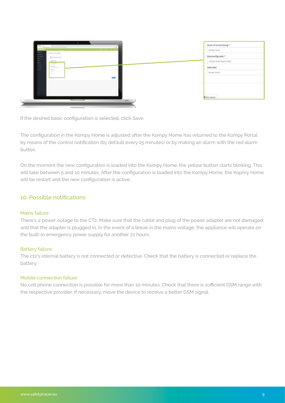| 100.00<br>and the company's company's<br>÷. | Naam of emschrijving*                    |
|---------------------------------------------|------------------------------------------|
| Top coupe                                   | <b>Rompy Home</b><br>Basisconfiguratie * |
| <b>Ensurance</b>                            | Kompy Home Basis Config.                 |
| Ē                                           | Gebruiker                                |
| Ţ                                           | Kompy Home                               |
|                                             |                                          |
|                                             |                                          |
|                                             | <b>D</b> Annulenen                       |
| ____<br>$\equiv$                            |                                          |

If the desired basic configuration is selected, click Save.

The configuration in the Kompy Home is adjusted after the Kompy Home has returned to the Kompy Portal by means of the control notification (by default every 25 minutes) or by making an alarm with the red alarm button.

On the moment the new configuration is loaded into the Kompy Home, the yellow button starts blinking. This will take between 5 and 10 minutes. After the configuration is loaded into the Kompy Home, the Kopmy Home will be restart and the new configuration is active.

## 10. Possible notifications

#### Mains failure

There's a power outage to the CT2. Make sure that the cable and plug of the power adapter are not damaged and that the adapter is plugged in. In the event of a break in the mains voltage, the appliance will operate on the built-in emergency power supply for another 72 hours.

#### Battery failure

The ct2's internal battery is not connected or defective. Check that the battery is connected or replace the battery.

#### Mobile connection failure

No cell phone connection is possible for more than 10 minutes. Check that there is sufficient GSM range with the respective provider. If necessary, move the device to receive a better GSM signal.